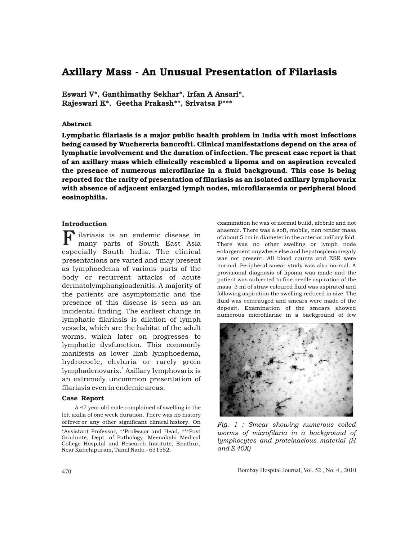# Axillary Mass - An Unusual Presentation of Filariasis

Eswari V\*, Ganthimathy Sekhar\*, Irfan A Ansari\*, Rajeswari K\*, Geetha Prakash\*\*, Srivatsa P\*\*\*

## Abstract

Lymphatic filariasis is a major public health problem in India with most infections being caused by Wuchereria bancrofti. Clinical manifestations depend on the area of lymphatic involvement and the duration of infection. The present case report is that of an axillary mass which clinically resembled a lipoma and on aspiration revealed the presence of numerous microfilariae in a fluid background. This case is being reported for the rarity of presentation of filariasis as an isolated axillary lymphovarix with absence of adjacent enlarged lymph nodes, microfilaraemia or peripheral blood eosinophilia.

# Introduction

**F** ilariasis is an endemic disease in many parts of South East Asia many parts of South East Asia especially South India. The clinical presentations are varied and may present as lymphoedema of various parts of the body or recurrent attacks of acute dermatolymphangioadenitis. A majority of the patients are asymptomatic and the presence of this disease is seen as an incidental finding. The earliest change in lymphatic filariasis is dilation of lymph vessels, which are the habitat of the adult worms, which later on progresses to lymphatic dysfunction. This commonly manifests as lower limb lymphoedema, hydrocoele, chyluria or rarely groin lymphadenovarix.<sup>'</sup> Axillary lymphovarix is an extremely uncommon presentation of filariasis even in endemic areas.

#### Case Report

A 47 year old male complained of swelling in the left axilla of one week duration. There was no history of fever or any other significant clinical history. On

examination he was of normal build, afebrile and not anaemic. There was a soft, mobile, non tender mass of about 5 cm in diameter in the anterior axillary fold. There was no other swelling or lymph node enlargement anywhere else and hepatosplenomegaly was not present. All blood counts and ESR were normal. Peripheral smear study was also normal. A provisional diagnosis of lipoma was made and the patient was subjected to fine needle aspiration of the mass. 3 ml of straw coloured fluid was aspirated and following aspiration the swelling reduced in size. The fluid was centrifuged and smears were made of the deposit. Examination of the smears showed numerous microfilariae in a background of few



*Fig. 1 : Smear showing numerous coiled worms of microfilaria in a background of lymphocytes and proteinacious material (H and E 40X)* 

470 Bombay Hospital Journal, Vol. 52 , No. 4 , 2010

<sup>\*</sup>Assistant Professor, \*\*Professor and Head, \*\*\*Post Graduate, Dept. of Pathology, Meenakshi Medical College Hospital and Research Institute, Enathur, Near Kanchipuram, Tamil Nadu - 631552.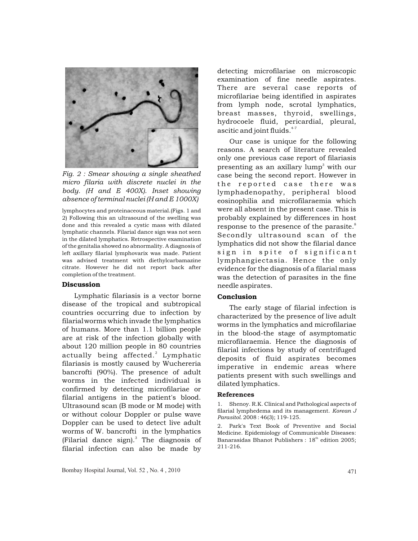

*Fig. 2 : Smear showing a single sheathed micro filaria with discrete nuclei in the body. (H and E 400X). Inset showing absence of terminal nuclei (H and E 1000X)*

lymphocytes and proteinaceous material.(Figs. 1 and 2) Following this an ultrasound of the swelling was done and this revealed a cystic mass with dilated lymphatic channels. Filarial dance sign was not seen in the dilated lymphatics. Retrospective examination of the genitalia showed no abnormality. A diagnosis of left axillary filarial lymphovarix was made. Patient was advised treatment with diethylcarbamazine citrate. However he did not report back after completion of the treatment.

#### Discussion

Lymphatic filariasis is a vector borne disease of the tropical and subtropical countries occurring due to infection by filarialworms which invade the lymphatics of humans. More than 1.1 billion people are at risk of the infection globally with about 120 million people in 80 countries actually being affected.<sup>2</sup> Lymphatic filariasis is mostly caused by Wuchereria bancrofti (90%). The presence of adult worms in the infected individual is confirmed by detecting microfilariae or filarial antigens in the patient's blood. Ultrasound scan (B mode or M mode) with or without colour Doppler or pulse wave Doppler can be used to detect live adult worms of W. bancrofti in the lymphatics (Filarial dance sign).<sup>3</sup> The diagnosis of filarial infection can also be made by

detecting microfilariae on microscopic examination of fine needle aspirates. There are several case reports of microfilariae being identified in aspirates from lymph node, scrotal lymphatics, breast masses, thyroid, swellings, hydrocoele fluid, pericardial, pleural, ascitic and joint fluids.<sup>4-7</sup>

Our case is unique for the following reasons. A search of literature revealed only one previous case report of filariasis presenting as an axillary lump<sup>3</sup> with our case being the second report. However in the reported case there was lymphadenopathy, peripheral blood eosinophilia and microfilaraemia which were all absent in the present case. This is probably explained by differences in host response to the presence of the parasite. $\degree$ Secondly ultrasound scan of the lymphatics did not show the filarial dance sign in spite of significant lymphangiectasia. Hence the only evidence for the diagnosis of a filarial mass was the detection of parasites in the fine needle aspirates.

### Conclusion

The early stage of filarial infection is characterized by the presence of live adult worms in the lymphatics and microfilariae in the blood-the stage of asymptomatic microfilaraemia. Hence the diagnosis of filarial infections by study of centrifuged deposits of fluid aspirates becomes imperative in endemic areas where patients present with such swellings and dilated lymphatics.

#### References

1. Shenoy. R.K. Clinical and Pathological aspects of filarial lymphedema and its management. *Korean J Parasitol.* 2008 : 46(3); 119-125.

2. Park's Text Book of Preventive and Social Medicine. Epidemiology of Communicable Diseases: Banarasidas Bhanot Publishers : 18<sup>th</sup> edition 2005; 211-216.